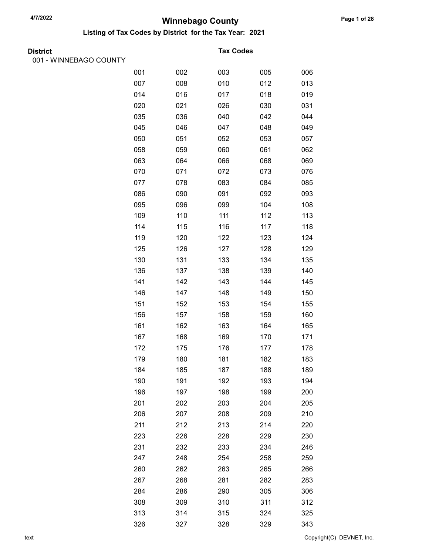Listing of Tax Codes by District for the Tax Year: 2021

| <b>District</b> |  |
|-----------------|--|

001 - WINNEBAGO COUNTY

#### **Tax Codes**

| סטי ושבי |     |     |     |     |     |
|----------|-----|-----|-----|-----|-----|
|          | 001 | 002 | 003 | 005 | 006 |
|          | 007 | 008 | 010 | 012 | 013 |
|          | 014 | 016 | 017 | 018 | 019 |
|          | 020 | 021 | 026 | 030 | 031 |
|          | 035 | 036 | 040 | 042 | 044 |
|          | 045 | 046 | 047 | 048 | 049 |
|          | 050 | 051 | 052 | 053 | 057 |
|          | 058 | 059 | 060 | 061 | 062 |
|          | 063 | 064 | 066 | 068 | 069 |
|          | 070 | 071 | 072 | 073 | 076 |
|          | 077 | 078 | 083 | 084 | 085 |
|          | 086 | 090 | 091 | 092 | 093 |
|          | 095 | 096 | 099 | 104 | 108 |
|          | 109 | 110 | 111 | 112 | 113 |
|          | 114 | 115 | 116 | 117 | 118 |
|          | 119 | 120 | 122 | 123 | 124 |
|          | 125 | 126 | 127 | 128 | 129 |
|          | 130 | 131 | 133 | 134 | 135 |
|          | 136 | 137 | 138 | 139 | 140 |
|          | 141 | 142 | 143 | 144 | 145 |
|          | 146 | 147 | 148 | 149 | 150 |
|          | 151 | 152 | 153 | 154 | 155 |
|          | 156 | 157 | 158 | 159 | 160 |
|          | 161 | 162 | 163 | 164 | 165 |
|          | 167 | 168 | 169 | 170 | 171 |
|          | 172 | 175 | 176 | 177 | 178 |
|          | 179 | 180 | 181 | 182 | 183 |
|          | 184 | 185 | 187 | 188 | 189 |
|          | 190 | 191 | 192 | 193 | 194 |
|          | 196 | 197 | 198 | 199 | 200 |
|          | 201 | 202 | 203 | 204 | 205 |
|          | 206 | 207 | 208 | 209 | 210 |
|          | 211 | 212 | 213 | 214 | 220 |
|          | 223 | 226 | 228 | 229 | 230 |
|          | 231 | 232 | 233 | 234 | 246 |
|          | 247 | 248 | 254 | 258 | 259 |
|          | 260 | 262 | 263 | 265 | 266 |
|          | 267 | 268 | 281 | 282 | 283 |
|          | 284 | 286 | 290 | 305 | 306 |
|          | 308 | 309 | 310 | 311 | 312 |
|          | 313 | 314 | 315 | 324 | 325 |
|          | 326 | 327 | 328 | 329 | 343 |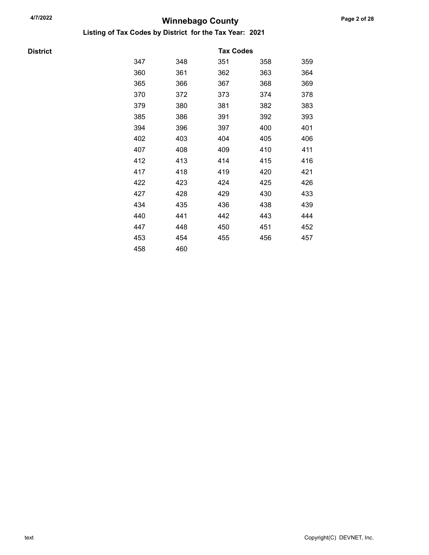Listing of Tax Codes by District for the Tax Year: 2021

**District** 

|     |     | <b>Tax Codes</b> |     |     |
|-----|-----|------------------|-----|-----|
| 347 | 348 | 351              | 358 | 359 |
| 360 | 361 | 362              | 363 | 364 |
| 365 | 366 | 367              | 368 | 369 |
| 370 | 372 | 373              | 374 | 378 |
| 379 | 380 | 381              | 382 | 383 |
| 385 | 386 | 391              | 392 | 393 |
| 394 | 396 | 397              | 400 | 401 |
| 402 | 403 | 404              | 405 | 406 |
| 407 | 408 | 409              | 410 | 411 |
| 412 | 413 | 414              | 415 | 416 |
| 417 | 418 | 419              | 420 | 421 |
| 422 | 423 | 424              | 425 | 426 |
| 427 | 428 | 429              | 430 | 433 |
| 434 | 435 | 436              | 438 | 439 |
| 440 | 441 | 442              | 443 | 444 |
| 447 | 448 | 450              | 451 | 452 |
| 453 | 454 | 455              | 456 | 457 |
| 458 | 460 |                  |     |     |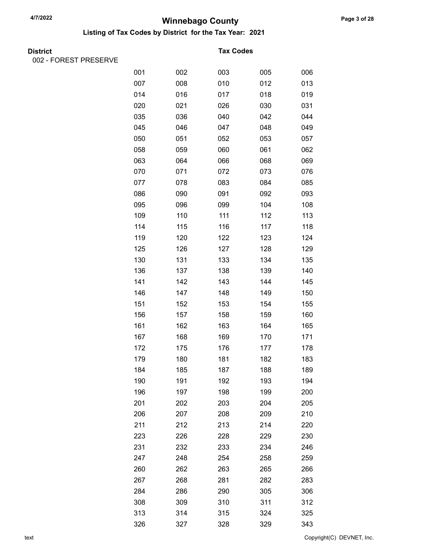Listing of Tax Codes by District for the Tax Year: 2021

|  | <b>District</b> |
|--|-----------------|
|  |                 |

002 - FOREST PRESERVE

#### **Tax Codes**

| <b>ICOLLINEOLINE</b> |     |     |     |     |     |
|----------------------|-----|-----|-----|-----|-----|
|                      | 001 | 002 | 003 | 005 | 006 |
|                      | 007 | 008 | 010 | 012 | 013 |
|                      | 014 | 016 | 017 | 018 | 019 |
|                      | 020 | 021 | 026 | 030 | 031 |
|                      | 035 | 036 | 040 | 042 | 044 |
|                      | 045 | 046 | 047 | 048 | 049 |
|                      | 050 | 051 | 052 | 053 | 057 |
|                      | 058 | 059 | 060 | 061 | 062 |
|                      | 063 | 064 | 066 | 068 | 069 |
|                      | 070 | 071 | 072 | 073 | 076 |
|                      | 077 | 078 | 083 | 084 | 085 |
|                      | 086 | 090 | 091 | 092 | 093 |
|                      | 095 | 096 | 099 | 104 | 108 |
|                      | 109 | 110 | 111 | 112 | 113 |
|                      | 114 | 115 | 116 | 117 | 118 |
|                      | 119 | 120 | 122 | 123 | 124 |
|                      | 125 | 126 | 127 | 128 | 129 |
|                      | 130 | 131 | 133 | 134 | 135 |
|                      | 136 | 137 | 138 | 139 | 140 |
|                      | 141 | 142 | 143 | 144 | 145 |
|                      | 146 | 147 | 148 | 149 | 150 |
|                      | 151 | 152 | 153 | 154 | 155 |
|                      | 156 | 157 | 158 | 159 | 160 |
|                      | 161 | 162 | 163 | 164 | 165 |
|                      | 167 | 168 | 169 | 170 | 171 |
|                      | 172 | 175 | 176 | 177 | 178 |
|                      | 179 | 180 | 181 | 182 | 183 |
|                      | 184 | 185 | 187 | 188 | 189 |
|                      | 190 | 191 | 192 | 193 | 194 |
|                      | 196 | 197 | 198 | 199 | 200 |
|                      | 201 | 202 | 203 | 204 | 205 |
|                      | 206 | 207 | 208 | 209 | 210 |
|                      | 211 | 212 | 213 | 214 | 220 |
|                      | 223 | 226 | 228 | 229 | 230 |
|                      | 231 | 232 | 233 | 234 | 246 |
|                      | 247 | 248 | 254 | 258 | 259 |
|                      | 260 | 262 | 263 | 265 | 266 |
|                      | 267 | 268 | 281 | 282 | 283 |
|                      | 284 | 286 | 290 | 305 | 306 |
|                      | 308 | 309 | 310 | 311 | 312 |
|                      | 313 | 314 | 315 | 324 | 325 |
|                      | 326 | 327 | 328 | 329 | 343 |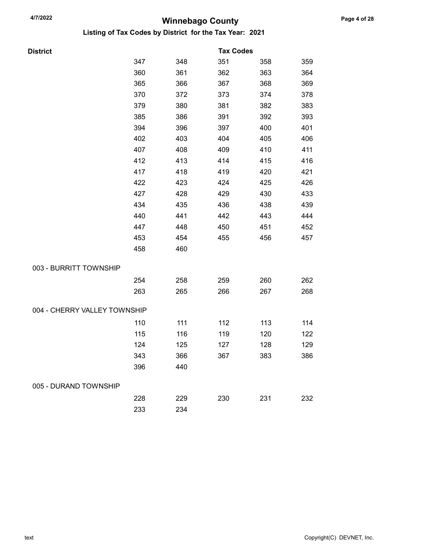| District                     |     |     | <b>Tax Codes</b> |     |     |
|------------------------------|-----|-----|------------------|-----|-----|
|                              | 347 | 348 | 351              | 358 | 359 |
|                              | 360 | 361 | 362              | 363 | 364 |
|                              | 365 | 366 | 367              | 368 | 369 |
|                              | 370 | 372 | 373              | 374 | 378 |
|                              | 379 | 380 | 381              | 382 | 383 |
|                              | 385 | 386 | 391              | 392 | 393 |
|                              | 394 | 396 | 397              | 400 | 401 |
|                              | 402 | 403 | 404              | 405 | 406 |
|                              | 407 | 408 | 409              | 410 | 411 |
|                              | 412 | 413 | 414              | 415 | 416 |
|                              | 417 | 418 | 419              | 420 | 421 |
|                              | 422 | 423 | 424              | 425 | 426 |
|                              | 427 | 428 | 429              | 430 | 433 |
|                              | 434 | 435 | 436              | 438 | 439 |
|                              | 440 | 441 | 442              | 443 | 444 |
|                              | 447 | 448 | 450              | 451 | 452 |
|                              | 453 | 454 | 455              | 456 | 457 |
|                              | 458 | 460 |                  |     |     |
| 003 - BURRITT TOWNSHIP       |     |     |                  |     |     |
|                              | 254 | 258 | 259              | 260 | 262 |
|                              | 263 | 265 | 266              | 267 | 268 |
| 004 - CHERRY VALLEY TOWNSHIP |     |     |                  |     |     |
|                              | 110 | 111 | 112              | 113 | 114 |
|                              | 115 | 116 | 119              | 120 | 122 |
|                              | 124 | 125 | 127              | 128 | 129 |
|                              | 343 | 366 | 367              | 383 | 386 |
|                              | 396 | 440 |                  |     |     |
| 005 - DURAND TOWNSHIP        |     |     |                  |     |     |
|                              | 228 | 229 | 230              | 231 | 232 |
|                              | 233 | 234 |                  |     |     |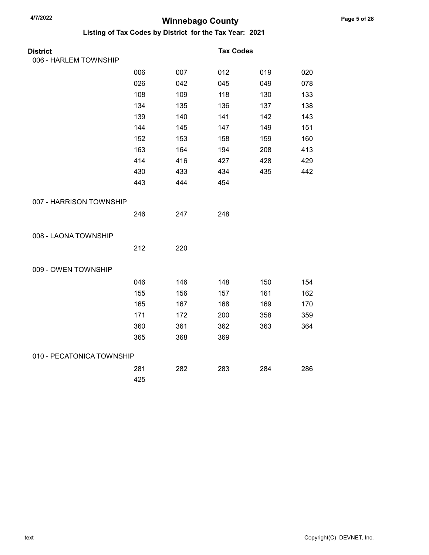| <b>District</b>           |     |     | <b>Tax Codes</b> |     |     |
|---------------------------|-----|-----|------------------|-----|-----|
| 006 - HARLEM TOWNSHIP     |     |     |                  |     |     |
|                           | 006 | 007 | 012              | 019 | 020 |
|                           | 026 | 042 | 045              | 049 | 078 |
|                           | 108 | 109 | 118              | 130 | 133 |
|                           | 134 | 135 | 136              | 137 | 138 |
|                           | 139 | 140 | 141              | 142 | 143 |
|                           | 144 | 145 | 147              | 149 | 151 |
|                           | 152 | 153 | 158              | 159 | 160 |
|                           | 163 | 164 | 194              | 208 | 413 |
|                           | 414 | 416 | 427              | 428 | 429 |
|                           | 430 | 433 | 434              | 435 | 442 |
|                           | 443 | 444 | 454              |     |     |
| 007 - HARRISON TOWNSHIP   |     |     |                  |     |     |
|                           | 246 | 247 | 248              |     |     |
| 008 - LAONA TOWNSHIP      |     |     |                  |     |     |
|                           | 212 | 220 |                  |     |     |
| 009 - OWEN TOWNSHIP       |     |     |                  |     |     |
|                           | 046 | 146 | 148              | 150 | 154 |
|                           | 155 | 156 | 157              | 161 | 162 |
|                           | 165 | 167 | 168              | 169 | 170 |
|                           | 171 | 172 | 200              | 358 | 359 |
|                           | 360 | 361 | 362              | 363 | 364 |
|                           | 365 | 368 | 369              |     |     |
| 010 - PECATONICA TOWNSHIP |     |     |                  |     |     |
|                           | 281 | 282 | 283              | 284 | 286 |
|                           | 425 |     |                  |     |     |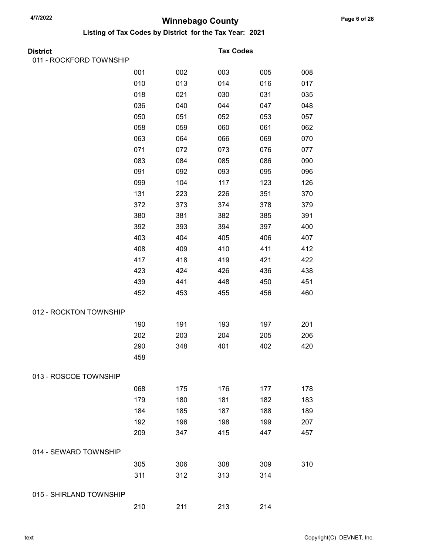| District                |     |     | <b>Tax Codes</b> |     |     |
|-------------------------|-----|-----|------------------|-----|-----|
| 011 - ROCKFORD TOWNSHIP |     |     |                  |     |     |
|                         | 001 | 002 | 003              | 005 | 008 |
|                         | 010 | 013 | 014              | 016 | 017 |
|                         | 018 | 021 | 030              | 031 | 035 |
|                         | 036 | 040 | 044              | 047 | 048 |
|                         | 050 | 051 | 052              | 053 | 057 |
|                         | 058 | 059 | 060              | 061 | 062 |
|                         | 063 | 064 | 066              | 069 | 070 |
|                         | 071 | 072 | 073              | 076 | 077 |
|                         | 083 | 084 | 085              | 086 | 090 |
|                         | 091 | 092 | 093              | 095 | 096 |
|                         | 099 | 104 | 117              | 123 | 126 |
|                         | 131 | 223 | 226              | 351 | 370 |
|                         | 372 | 373 | 374              | 378 | 379 |
|                         | 380 | 381 | 382              | 385 | 391 |
|                         | 392 | 393 | 394              | 397 | 400 |
|                         | 403 | 404 | 405              | 406 | 407 |
|                         | 408 | 409 | 410              | 411 | 412 |
|                         | 417 | 418 | 419              | 421 | 422 |
|                         | 423 | 424 | 426              | 436 | 438 |
|                         | 439 | 441 | 448              | 450 | 451 |
|                         | 452 | 453 | 455              | 456 | 460 |
| 012 - ROCKTON TOWNSHIP  |     |     |                  |     |     |
|                         | 190 | 191 | 193              | 197 | 201 |
|                         | 202 | 203 | 204              | 205 | 206 |
|                         | 290 | 348 | 401              | 402 | 420 |
|                         | 458 |     |                  |     |     |
| 013 - ROSCOE TOWNSHIP   |     |     |                  |     |     |
|                         | 068 | 175 | 176              | 177 | 178 |
|                         | 179 | 180 | 181              | 182 | 183 |
|                         | 184 | 185 | 187              | 188 | 189 |
|                         | 192 | 196 | 198              | 199 | 207 |
|                         | 209 | 347 | 415              | 447 | 457 |
| 014 - SEWARD TOWNSHIP   |     |     |                  |     |     |
|                         | 305 | 306 | 308              | 309 | 310 |
|                         | 311 | 312 | 313              | 314 |     |
| 015 - SHIRLAND TOWNSHIP |     |     |                  |     |     |
|                         | 210 | 211 | 213              | 214 |     |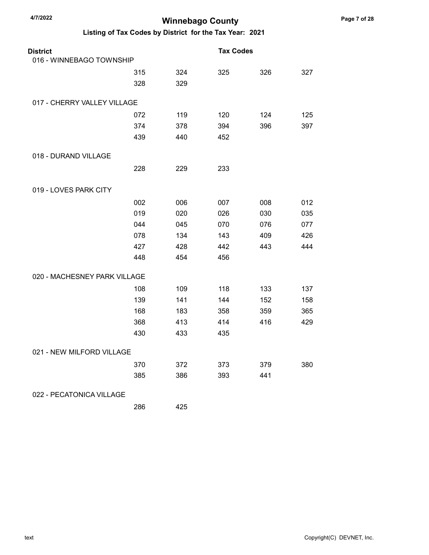| <b>District</b>              |     |     | <b>Tax Codes</b> |     |     |
|------------------------------|-----|-----|------------------|-----|-----|
| 016 - WINNEBAGO TOWNSHIP     |     |     |                  |     |     |
|                              | 315 | 324 | 325              | 326 | 327 |
|                              | 328 | 329 |                  |     |     |
| 017 - CHERRY VALLEY VILLAGE  |     |     |                  |     |     |
|                              | 072 | 119 | 120              | 124 | 125 |
|                              | 374 | 378 | 394              | 396 | 397 |
|                              | 439 | 440 | 452              |     |     |
| 018 - DURAND VILLAGE         |     |     |                  |     |     |
|                              | 228 | 229 | 233              |     |     |
| 019 - LOVES PARK CITY        |     |     |                  |     |     |
|                              | 002 | 006 | 007              | 008 | 012 |
|                              | 019 | 020 | 026              | 030 | 035 |
|                              | 044 | 045 | 070              | 076 | 077 |
|                              | 078 | 134 | 143              | 409 | 426 |
|                              | 427 | 428 | 442              | 443 | 444 |
|                              | 448 | 454 | 456              |     |     |
| 020 - MACHESNEY PARK VILLAGE |     |     |                  |     |     |
|                              | 108 | 109 | 118              | 133 | 137 |
|                              | 139 | 141 | 144              | 152 | 158 |
|                              | 168 | 183 | 358              | 359 | 365 |
|                              | 368 | 413 | 414              | 416 | 429 |
|                              | 430 | 433 | 435              |     |     |
| 021 - NEW MILFORD VILLAGE    |     |     |                  |     |     |
|                              | 370 | 372 | 373              | 379 | 380 |
|                              | 385 | 386 | 393              | 441 |     |
| 022 - PECATONICA VILLAGE     |     |     |                  |     |     |
|                              | 286 | 425 |                  |     |     |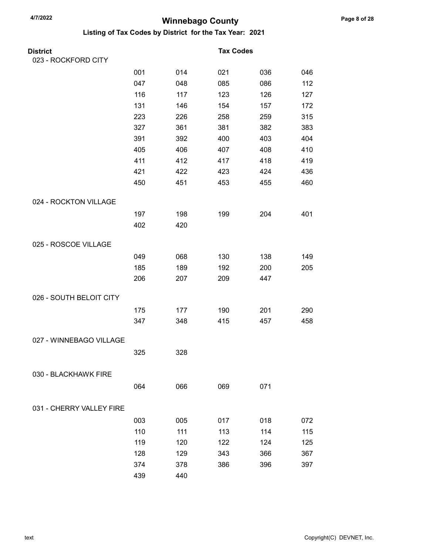| <b>District</b>          |     |     | <b>Tax Codes</b> |     |     |
|--------------------------|-----|-----|------------------|-----|-----|
| 023 - ROCKFORD CITY      |     |     |                  |     |     |
|                          | 001 | 014 | 021              | 036 | 046 |
|                          | 047 | 048 | 085              | 086 | 112 |
|                          | 116 | 117 | 123              | 126 | 127 |
|                          | 131 | 146 | 154              | 157 | 172 |
|                          | 223 | 226 | 258              | 259 | 315 |
|                          | 327 | 361 | 381              | 382 | 383 |
|                          | 391 | 392 | 400              | 403 | 404 |
|                          | 405 | 406 | 407              | 408 | 410 |
|                          | 411 | 412 | 417              | 418 | 419 |
|                          | 421 | 422 | 423              | 424 | 436 |
|                          | 450 | 451 | 453              | 455 | 460 |
| 024 - ROCKTON VILLAGE    |     |     |                  |     |     |
|                          | 197 | 198 | 199              | 204 | 401 |
|                          | 402 | 420 |                  |     |     |
| 025 - ROSCOE VILLAGE     |     |     |                  |     |     |
|                          | 049 | 068 | 130              | 138 | 149 |
|                          | 185 | 189 | 192              | 200 | 205 |
|                          | 206 | 207 | 209              | 447 |     |
| 026 - SOUTH BELOIT CITY  |     |     |                  |     |     |
|                          | 175 | 177 | 190              | 201 | 290 |
|                          | 347 | 348 | 415              | 457 | 458 |
| 027 - WINNEBAGO VILLAGE  |     |     |                  |     |     |
|                          | 325 | 328 |                  |     |     |
|                          |     |     |                  |     |     |
| 030 - BLACKHAWK FIRE     |     |     |                  |     |     |
|                          | 064 | 066 | 069              | 071 |     |
| 031 - CHERRY VALLEY FIRE |     |     |                  |     |     |
|                          | 003 | 005 | 017              | 018 | 072 |
|                          | 110 | 111 | 113              | 114 | 115 |
|                          | 119 | 120 | 122              | 124 | 125 |
|                          | 128 | 129 | 343              | 366 | 367 |
|                          | 374 | 378 | 386              | 396 | 397 |
|                          | 439 | 440 |                  |     |     |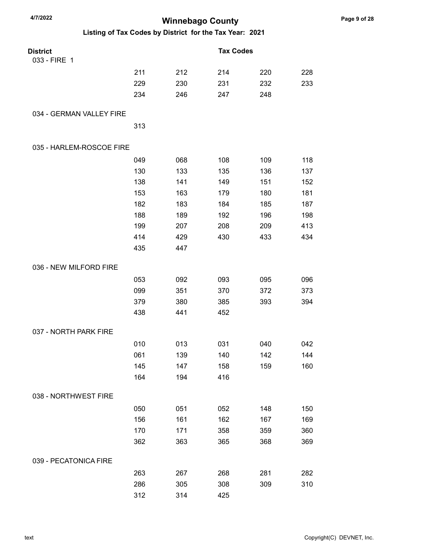| 4/7/2022                                                | <b>Winnebago County</b> |     |                  |     |     |
|---------------------------------------------------------|-------------------------|-----|------------------|-----|-----|
| Listing of Tax Codes by District for the Tax Year: 2021 |                         |     |                  |     |     |
| <b>District</b><br>033 - FIRE 1                         |                         |     | <b>Tax Codes</b> |     |     |
|                                                         | 211                     | 212 | 214              | 220 | 228 |
|                                                         | 229                     | 230 | 231              | 232 | 233 |
|                                                         | 234                     | 246 | 247              | 248 |     |
| 034 - GERMAN VALLEY FIRE                                |                         |     |                  |     |     |
|                                                         | 313                     |     |                  |     |     |
| 035 - HARLEM-ROSCOE FIRE                                |                         |     |                  |     |     |
|                                                         | 049                     | 068 | 108              | 109 | 118 |
|                                                         | 130                     | 133 | 135              | 136 | 137 |
|                                                         | 138                     | 141 | 149              | 151 | 152 |
|                                                         | 153                     | 163 | 179              | 180 | 181 |
|                                                         | 182                     | 183 | 184              | 185 | 187 |
|                                                         | 188                     | 189 | 192              | 196 | 198 |
|                                                         | 199                     | 207 | 208              | 209 | 413 |
|                                                         | 414                     | 429 | 430              | 433 | 434 |
|                                                         | 435                     | 447 |                  |     |     |
| 036 - NEW MILFORD FIRE                                  |                         |     |                  |     |     |
|                                                         | 053                     | 092 | 093              | 095 | 096 |
|                                                         | 099                     | 351 | 370              | 372 | 373 |
|                                                         | 379                     | 380 | 385              | 393 | 394 |
|                                                         | 438                     | 441 | 452              |     |     |
| 037 - NORTH PARK FIRE                                   |                         |     |                  |     |     |
|                                                         | 010                     | 013 | 031              | 040 | 042 |
|                                                         | 061                     | 139 | 140              | 142 | 144 |
|                                                         | 145                     | 147 | 158              | 159 | 160 |
|                                                         | 164                     | 194 | 416              |     |     |
| 038 - NORTHWEST FIRE                                    |                         |     |                  |     |     |
|                                                         | 050                     | 051 | 052              | 148 | 150 |
|                                                         | 156                     | 161 | 162              | 167 | 169 |
|                                                         | 170                     | 171 | 358              | 359 | 360 |
|                                                         | 362                     | 363 | 365              | 368 | 369 |
| 039 - PECATONICA FIRE                                   |                         |     |                  |     |     |
|                                                         | 263                     | 267 | 268              | 281 | 282 |
|                                                         | 286                     | 305 | 308              | 309 | 310 |
|                                                         | 312                     | 314 | 425              |     |     |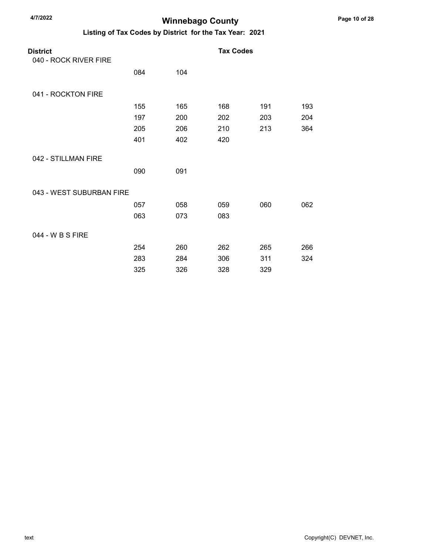## Winnebago County

| <b>District</b>          |     |     | <b>Tax Codes</b> |     |     |
|--------------------------|-----|-----|------------------|-----|-----|
| 040 - ROCK RIVER FIRE    |     |     |                  |     |     |
|                          | 084 | 104 |                  |     |     |
| 041 - ROCKTON FIRE       |     |     |                  |     |     |
|                          | 155 | 165 | 168              | 191 | 193 |
|                          | 197 | 200 | 202              | 203 | 204 |
|                          | 205 | 206 | 210              | 213 | 364 |
|                          | 401 | 402 | 420              |     |     |
| 042 - STILLMAN FIRE      |     |     |                  |     |     |
|                          | 090 | 091 |                  |     |     |
| 043 - WEST SUBURBAN FIRE |     |     |                  |     |     |
|                          | 057 | 058 | 059              | 060 | 062 |
|                          | 063 | 073 | 083              |     |     |
| 044 - W B S FIRE         |     |     |                  |     |     |
|                          | 254 | 260 | 262              | 265 | 266 |
|                          | 283 | 284 | 306              | 311 | 324 |
|                          | 325 | 326 | 328              | 329 |     |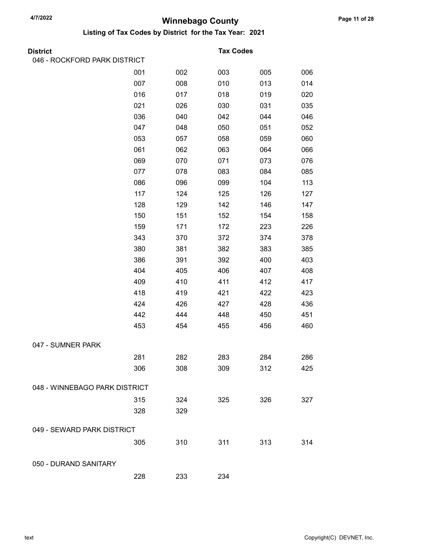| <b>District</b>               |     |     | <b>Tax Codes</b> |     |     |
|-------------------------------|-----|-----|------------------|-----|-----|
| 046 - ROCKFORD PARK DISTRICT  |     |     |                  |     |     |
|                               | 001 | 002 | 003              | 005 | 006 |
|                               | 007 | 008 | 010              | 013 | 014 |
|                               | 016 | 017 | 018              | 019 | 020 |
|                               | 021 | 026 | 030              | 031 | 035 |
|                               | 036 | 040 | 042              | 044 | 046 |
|                               | 047 | 048 | 050              | 051 | 052 |
|                               | 053 | 057 | 058              | 059 | 060 |
|                               | 061 | 062 | 063              | 064 | 066 |
|                               | 069 | 070 | 071              | 073 | 076 |
|                               | 077 | 078 | 083              | 084 | 085 |
|                               | 086 | 096 | 099              | 104 | 113 |
|                               | 117 | 124 | 125              | 126 | 127 |
|                               | 128 | 129 | 142              | 146 | 147 |
|                               | 150 | 151 | 152              | 154 | 158 |
|                               | 159 | 171 | 172              | 223 | 226 |
|                               | 343 | 370 | 372              | 374 | 378 |
|                               | 380 | 381 | 382              | 383 | 385 |
|                               | 386 | 391 | 392              | 400 | 403 |
|                               | 404 | 405 | 406              | 407 | 408 |
|                               | 409 | 410 | 411              | 412 | 417 |
|                               | 418 | 419 | 421              | 422 | 423 |
|                               | 424 | 426 | 427              | 428 | 436 |
|                               | 442 | 444 | 448              | 450 | 451 |
|                               | 453 | 454 | 455              | 456 | 460 |
| 047 - SUMNER PARK             |     |     |                  |     |     |
|                               | 281 | 282 | 283              | 284 | 286 |
|                               | 306 | 308 | 309              | 312 | 425 |
| 048 - WINNEBAGO PARK DISTRICT |     |     |                  |     |     |
|                               | 315 | 324 | 325              | 326 | 327 |
|                               | 328 | 329 |                  |     |     |
| 049 - SEWARD PARK DISTRICT    |     |     |                  |     |     |
|                               | 305 | 310 | 311              | 313 | 314 |
| 050 - DURAND SANITARY         |     |     |                  |     |     |
|                               | 228 | 233 | 234              |     |     |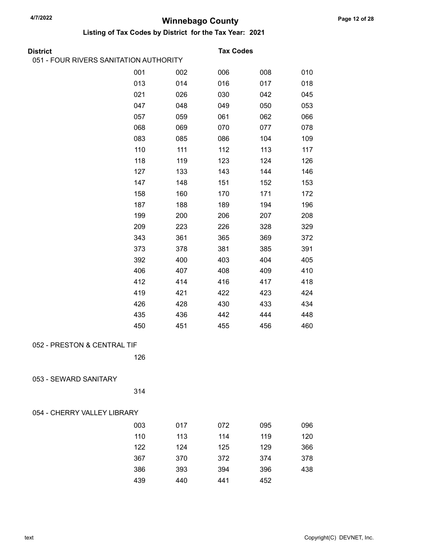| 051 - FOUR RIVERS SANITATION AUTHORITY<br>001<br>006<br>008<br>010<br>002<br>014<br>013<br>016<br>017<br>018<br>021<br>026<br>030<br>042<br>045<br>047<br>048<br>049<br>053<br>050<br>059<br>061<br>057<br>062<br>066<br>068<br>069<br>078<br>070<br>077<br>083<br>085<br>086<br>104<br>109<br>110<br>111<br>112<br>113<br>117<br>118<br>119<br>123<br>124<br>126<br>127<br>133<br>143<br>146<br>144<br>147<br>148<br>151<br>152<br>153<br>158<br>172<br>160<br>170<br>171<br>187<br>188<br>189<br>194<br>196<br>199<br>200<br>206<br>207<br>208<br>209<br>223<br>226<br>328<br>329<br>343<br>361<br>365<br>369<br>372<br>381<br>391<br>373<br>378<br>385<br>392<br>403<br>404<br>405<br>400<br>406<br>407<br>410<br>408<br>409<br>412<br>416<br>418<br>414<br>417<br>419<br>421<br>422<br>423<br>424<br>426<br>428<br>430<br>433<br>434<br>435<br>444<br>448<br>436<br>442<br>450<br>451<br>456<br>460<br>455<br>052 - PRESTON & CENTRAL TIF<br>126<br>053 - SEWARD SANITARY<br>314<br>054 - CHERRY VALLEY LIBRARY<br>003<br>017<br>072<br>095<br>096<br>110<br>113<br>114<br>119<br>120<br>122<br>124<br>125<br>129<br>366<br>367<br>370<br>372<br>374<br>378<br>386 | <b>District</b> |     | <b>Tax Codes</b> |     |     |
|------------------------------------------------------------------------------------------------------------------------------------------------------------------------------------------------------------------------------------------------------------------------------------------------------------------------------------------------------------------------------------------------------------------------------------------------------------------------------------------------------------------------------------------------------------------------------------------------------------------------------------------------------------------------------------------------------------------------------------------------------------------------------------------------------------------------------------------------------------------------------------------------------------------------------------------------------------------------------------------------------------------------------------------------------------------------------------------------------------------------------------------------------------------------|-----------------|-----|------------------|-----|-----|
|                                                                                                                                                                                                                                                                                                                                                                                                                                                                                                                                                                                                                                                                                                                                                                                                                                                                                                                                                                                                                                                                                                                                                                        |                 |     |                  |     |     |
|                                                                                                                                                                                                                                                                                                                                                                                                                                                                                                                                                                                                                                                                                                                                                                                                                                                                                                                                                                                                                                                                                                                                                                        |                 |     |                  |     |     |
|                                                                                                                                                                                                                                                                                                                                                                                                                                                                                                                                                                                                                                                                                                                                                                                                                                                                                                                                                                                                                                                                                                                                                                        |                 |     |                  |     |     |
|                                                                                                                                                                                                                                                                                                                                                                                                                                                                                                                                                                                                                                                                                                                                                                                                                                                                                                                                                                                                                                                                                                                                                                        |                 |     |                  |     |     |
|                                                                                                                                                                                                                                                                                                                                                                                                                                                                                                                                                                                                                                                                                                                                                                                                                                                                                                                                                                                                                                                                                                                                                                        |                 |     |                  |     |     |
|                                                                                                                                                                                                                                                                                                                                                                                                                                                                                                                                                                                                                                                                                                                                                                                                                                                                                                                                                                                                                                                                                                                                                                        |                 |     |                  |     |     |
|                                                                                                                                                                                                                                                                                                                                                                                                                                                                                                                                                                                                                                                                                                                                                                                                                                                                                                                                                                                                                                                                                                                                                                        |                 |     |                  |     |     |
|                                                                                                                                                                                                                                                                                                                                                                                                                                                                                                                                                                                                                                                                                                                                                                                                                                                                                                                                                                                                                                                                                                                                                                        |                 |     |                  |     |     |
|                                                                                                                                                                                                                                                                                                                                                                                                                                                                                                                                                                                                                                                                                                                                                                                                                                                                                                                                                                                                                                                                                                                                                                        |                 |     |                  |     |     |
|                                                                                                                                                                                                                                                                                                                                                                                                                                                                                                                                                                                                                                                                                                                                                                                                                                                                                                                                                                                                                                                                                                                                                                        |                 |     |                  |     |     |
|                                                                                                                                                                                                                                                                                                                                                                                                                                                                                                                                                                                                                                                                                                                                                                                                                                                                                                                                                                                                                                                                                                                                                                        |                 |     |                  |     |     |
|                                                                                                                                                                                                                                                                                                                                                                                                                                                                                                                                                                                                                                                                                                                                                                                                                                                                                                                                                                                                                                                                                                                                                                        |                 |     |                  |     |     |
|                                                                                                                                                                                                                                                                                                                                                                                                                                                                                                                                                                                                                                                                                                                                                                                                                                                                                                                                                                                                                                                                                                                                                                        |                 |     |                  |     |     |
|                                                                                                                                                                                                                                                                                                                                                                                                                                                                                                                                                                                                                                                                                                                                                                                                                                                                                                                                                                                                                                                                                                                                                                        |                 |     |                  |     |     |
|                                                                                                                                                                                                                                                                                                                                                                                                                                                                                                                                                                                                                                                                                                                                                                                                                                                                                                                                                                                                                                                                                                                                                                        |                 |     |                  |     |     |
|                                                                                                                                                                                                                                                                                                                                                                                                                                                                                                                                                                                                                                                                                                                                                                                                                                                                                                                                                                                                                                                                                                                                                                        |                 |     |                  |     |     |
|                                                                                                                                                                                                                                                                                                                                                                                                                                                                                                                                                                                                                                                                                                                                                                                                                                                                                                                                                                                                                                                                                                                                                                        |                 |     |                  |     |     |
|                                                                                                                                                                                                                                                                                                                                                                                                                                                                                                                                                                                                                                                                                                                                                                                                                                                                                                                                                                                                                                                                                                                                                                        |                 |     |                  |     |     |
|                                                                                                                                                                                                                                                                                                                                                                                                                                                                                                                                                                                                                                                                                                                                                                                                                                                                                                                                                                                                                                                                                                                                                                        |                 |     |                  |     |     |
|                                                                                                                                                                                                                                                                                                                                                                                                                                                                                                                                                                                                                                                                                                                                                                                                                                                                                                                                                                                                                                                                                                                                                                        |                 |     |                  |     |     |
|                                                                                                                                                                                                                                                                                                                                                                                                                                                                                                                                                                                                                                                                                                                                                                                                                                                                                                                                                                                                                                                                                                                                                                        |                 |     |                  |     |     |
|                                                                                                                                                                                                                                                                                                                                                                                                                                                                                                                                                                                                                                                                                                                                                                                                                                                                                                                                                                                                                                                                                                                                                                        |                 |     |                  |     |     |
|                                                                                                                                                                                                                                                                                                                                                                                                                                                                                                                                                                                                                                                                                                                                                                                                                                                                                                                                                                                                                                                                                                                                                                        |                 |     |                  |     |     |
|                                                                                                                                                                                                                                                                                                                                                                                                                                                                                                                                                                                                                                                                                                                                                                                                                                                                                                                                                                                                                                                                                                                                                                        |                 |     |                  |     |     |
|                                                                                                                                                                                                                                                                                                                                                                                                                                                                                                                                                                                                                                                                                                                                                                                                                                                                                                                                                                                                                                                                                                                                                                        |                 |     |                  |     |     |
|                                                                                                                                                                                                                                                                                                                                                                                                                                                                                                                                                                                                                                                                                                                                                                                                                                                                                                                                                                                                                                                                                                                                                                        |                 |     |                  |     |     |
|                                                                                                                                                                                                                                                                                                                                                                                                                                                                                                                                                                                                                                                                                                                                                                                                                                                                                                                                                                                                                                                                                                                                                                        |                 |     |                  |     |     |
|                                                                                                                                                                                                                                                                                                                                                                                                                                                                                                                                                                                                                                                                                                                                                                                                                                                                                                                                                                                                                                                                                                                                                                        |                 |     |                  |     |     |
|                                                                                                                                                                                                                                                                                                                                                                                                                                                                                                                                                                                                                                                                                                                                                                                                                                                                                                                                                                                                                                                                                                                                                                        |                 |     |                  |     |     |
|                                                                                                                                                                                                                                                                                                                                                                                                                                                                                                                                                                                                                                                                                                                                                                                                                                                                                                                                                                                                                                                                                                                                                                        |                 |     |                  |     |     |
|                                                                                                                                                                                                                                                                                                                                                                                                                                                                                                                                                                                                                                                                                                                                                                                                                                                                                                                                                                                                                                                                                                                                                                        |                 |     |                  |     |     |
|                                                                                                                                                                                                                                                                                                                                                                                                                                                                                                                                                                                                                                                                                                                                                                                                                                                                                                                                                                                                                                                                                                                                                                        |                 |     |                  |     |     |
|                                                                                                                                                                                                                                                                                                                                                                                                                                                                                                                                                                                                                                                                                                                                                                                                                                                                                                                                                                                                                                                                                                                                                                        |                 |     |                  |     |     |
|                                                                                                                                                                                                                                                                                                                                                                                                                                                                                                                                                                                                                                                                                                                                                                                                                                                                                                                                                                                                                                                                                                                                                                        |                 |     |                  |     |     |
|                                                                                                                                                                                                                                                                                                                                                                                                                                                                                                                                                                                                                                                                                                                                                                                                                                                                                                                                                                                                                                                                                                                                                                        |                 | 393 | 394              | 396 | 438 |
| 439<br>440<br>441<br>452                                                                                                                                                                                                                                                                                                                                                                                                                                                                                                                                                                                                                                                                                                                                                                                                                                                                                                                                                                                                                                                                                                                                               |                 |     |                  |     |     |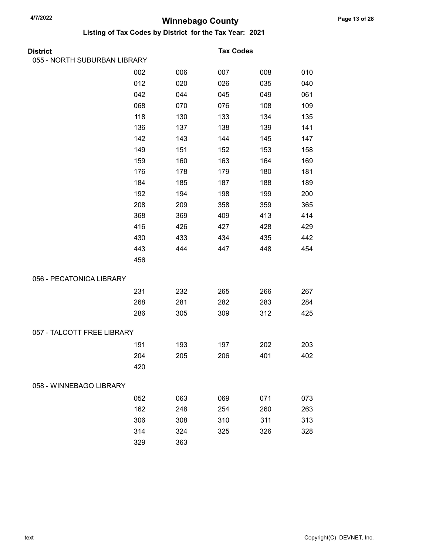| <b>District</b>              |     |     | <b>Tax Codes</b> |     |     |
|------------------------------|-----|-----|------------------|-----|-----|
| 055 - NORTH SUBURBAN LIBRARY |     |     |                  |     |     |
|                              | 002 | 006 | 007              | 008 | 010 |
|                              | 012 | 020 | 026              | 035 | 040 |
|                              | 042 | 044 | 045              | 049 | 061 |
|                              | 068 | 070 | 076              | 108 | 109 |
|                              | 118 | 130 | 133              | 134 | 135 |
|                              | 136 | 137 | 138              | 139 | 141 |
|                              | 142 | 143 | 144              | 145 | 147 |
|                              | 149 | 151 | 152              | 153 | 158 |
|                              | 159 | 160 | 163              | 164 | 169 |
|                              | 176 | 178 | 179              | 180 | 181 |
|                              | 184 | 185 | 187              | 188 | 189 |
|                              | 192 | 194 | 198              | 199 | 200 |
|                              | 208 | 209 | 358              | 359 | 365 |
|                              | 368 | 369 | 409              | 413 | 414 |
|                              | 416 | 426 | 427              | 428 | 429 |
|                              | 430 | 433 | 434              | 435 | 442 |
|                              | 443 | 444 | 447              | 448 | 454 |
|                              | 456 |     |                  |     |     |
| 056 - PECATONICA LIBRARY     |     |     |                  |     |     |
|                              | 231 | 232 | 265              | 266 | 267 |
|                              | 268 | 281 | 282              | 283 | 284 |
|                              | 286 | 305 | 309              | 312 | 425 |
| 057 - TALCOTT FREE LIBRARY   |     |     |                  |     |     |
|                              | 191 | 193 | 197              | 202 | 203 |
|                              | 204 | 205 | 206              | 401 | 402 |
|                              | 420 |     |                  |     |     |
| 058 - WINNEBAGO LIBRARY      |     |     |                  |     |     |
|                              | 052 | 063 | 069              | 071 | 073 |
|                              | 162 | 248 | 254              | 260 | 263 |
|                              | 306 | 308 | 310              | 311 | 313 |
|                              | 314 | 324 | 325              | 326 | 328 |
|                              | 329 | 363 |                  |     |     |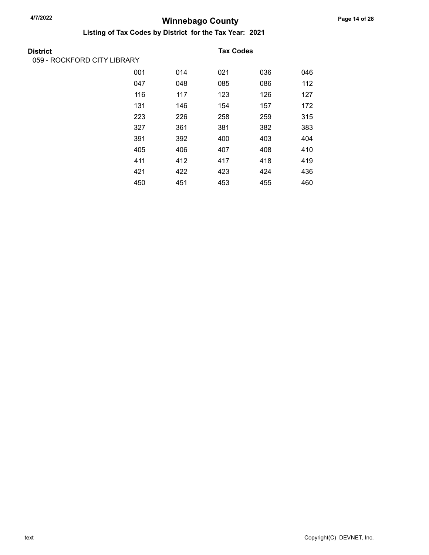| <b>District</b>             |     |     | <b>Tax Codes</b> |     |     |
|-----------------------------|-----|-----|------------------|-----|-----|
| 059 - ROCKFORD CITY LIBRARY |     |     |                  |     |     |
|                             | 001 | 014 | 021              | 036 | 046 |
|                             | 047 | 048 | 085              | 086 | 112 |
|                             | 116 | 117 | 123              | 126 | 127 |
|                             | 131 | 146 | 154              | 157 | 172 |
|                             | 223 | 226 | 258              | 259 | 315 |
|                             | 327 | 361 | 381              | 382 | 383 |
|                             | 391 | 392 | 400              | 403 | 404 |
|                             | 405 | 406 | 407              | 408 | 410 |
|                             | 411 | 412 | 417              | 418 | 419 |
|                             | 421 | 422 | 423              | 424 | 436 |
|                             | 450 | 451 | 453              | 455 | 460 |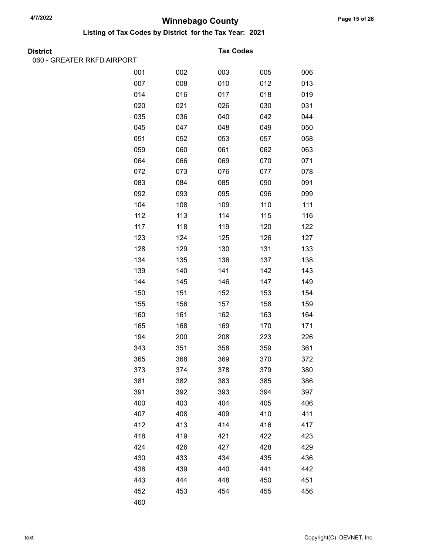Listing of Tax Codes by District for the Tax Year: 2021

| <b>District</b> |  |
|-----------------|--|
|                 |  |

060 - GREATER RKFD AIRPORT

#### **Tax Codes**

| 001 | 002 | 003 | 005 | 006 |
|-----|-----|-----|-----|-----|
| 007 | 008 | 010 | 012 | 013 |
| 014 | 016 | 017 | 018 | 019 |
| 020 | 021 | 026 | 030 | 031 |
| 035 | 036 | 040 | 042 | 044 |
| 045 | 047 | 048 | 049 | 050 |
| 051 | 052 | 053 | 057 | 058 |
| 059 | 060 | 061 | 062 | 063 |
| 064 | 066 | 069 | 070 | 071 |
| 072 | 073 | 076 | 077 | 078 |
| 083 | 084 | 085 | 090 | 091 |
| 092 | 093 | 095 | 096 | 099 |
| 104 | 108 | 109 | 110 | 111 |
| 112 | 113 | 114 | 115 | 116 |
| 117 | 118 | 119 | 120 | 122 |
| 123 | 124 | 125 | 126 | 127 |
| 128 | 129 | 130 | 131 | 133 |
| 134 | 135 | 136 | 137 | 138 |
| 139 | 140 | 141 | 142 | 143 |
| 144 | 145 | 146 | 147 | 149 |
| 150 | 151 | 152 | 153 | 154 |
| 155 | 156 | 157 | 158 | 159 |
| 160 | 161 | 162 | 163 | 164 |
| 165 | 168 | 169 | 170 | 171 |
| 194 | 200 | 208 | 223 | 226 |
| 343 | 351 | 358 | 359 | 361 |
| 365 | 368 | 369 | 370 | 372 |
| 373 | 374 | 378 | 379 | 380 |
| 381 | 382 | 383 | 385 | 386 |
| 391 | 392 | 393 | 394 | 397 |
| 400 | 403 | 404 | 405 | 406 |
| 407 | 408 | 409 | 410 | 411 |
| 412 | 413 | 414 | 416 | 417 |
| 418 | 419 | 421 | 422 | 423 |
| 424 | 426 | 427 | 428 | 429 |
| 430 | 433 | 434 | 435 | 436 |
| 438 | 439 | 440 | 441 | 442 |
| 443 | 444 | 448 | 450 | 451 |
| 452 | 453 | 454 | 455 | 456 |
| 460 |     |     |     |     |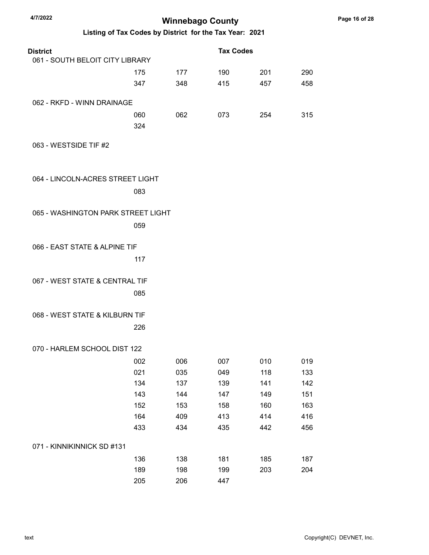| 4/7/2022                           |     | <b>Winnebago County</b>                                 |                  |     |     |
|------------------------------------|-----|---------------------------------------------------------|------------------|-----|-----|
|                                    |     | Listing of Tax Codes by District for the Tax Year: 2021 |                  |     |     |
| <b>District</b>                    |     |                                                         | <b>Tax Codes</b> |     |     |
| 061 - SOUTH BELOIT CITY LIBRARY    |     |                                                         |                  |     |     |
|                                    | 175 | 177                                                     | 190              | 201 | 290 |
|                                    | 347 | 348                                                     | 415              | 457 | 458 |
| 062 - RKFD - WINN DRAINAGE         |     |                                                         |                  |     |     |
|                                    | 060 | 062                                                     | 073              | 254 | 315 |
|                                    | 324 |                                                         |                  |     |     |
| 063 - WESTSIDE TIF #2              |     |                                                         |                  |     |     |
| 064 - LINCOLN-ACRES STREET LIGHT   |     |                                                         |                  |     |     |
|                                    | 083 |                                                         |                  |     |     |
| 065 - WASHINGTON PARK STREET LIGHT |     |                                                         |                  |     |     |
|                                    |     |                                                         |                  |     |     |
|                                    | 059 |                                                         |                  |     |     |
| 066 - EAST STATE & ALPINE TIF      |     |                                                         |                  |     |     |
|                                    |     |                                                         |                  |     |     |
|                                    | 117 |                                                         |                  |     |     |
| 067 - WEST STATE & CENTRAL TIF     |     |                                                         |                  |     |     |
|                                    | 085 |                                                         |                  |     |     |
| 068 - WEST STATE & KILBURN TIF     |     |                                                         |                  |     |     |
|                                    | 226 |                                                         |                  |     |     |
|                                    |     |                                                         |                  |     |     |
| 070 - HARLEM SCHOOL DIST 122       |     |                                                         |                  |     |     |
|                                    | 002 | 006                                                     | 007              | 010 | 019 |
|                                    | 021 | 035                                                     | 049              | 118 | 133 |
|                                    | 134 | 137                                                     | 139              | 141 | 142 |
|                                    | 143 | 144                                                     | 147              | 149 | 151 |
|                                    | 152 | 153                                                     | 158              | 160 | 163 |
|                                    | 164 | 409                                                     | 413              | 414 | 416 |
|                                    | 433 | 434                                                     | 435              | 442 | 456 |
| 071 - KINNIKINNICK SD #131         |     |                                                         |                  |     |     |
|                                    | 136 | 138                                                     | 181              | 185 | 187 |
|                                    | 189 | 198                                                     | 199              | 203 | 204 |
|                                    | 205 | 206                                                     | 447              |     |     |

Page 16 of 28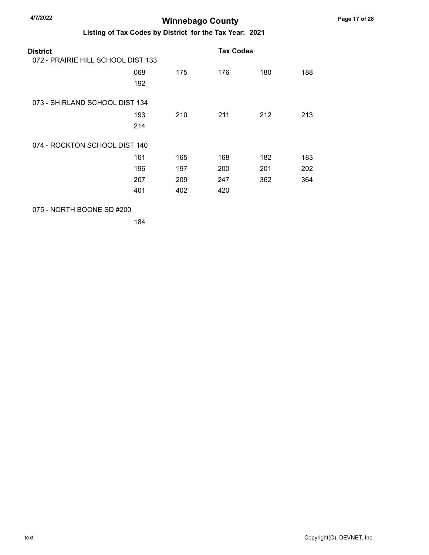Listing of Tax Codes by District for the Tax Year: 2021

| District<br>072 - PRAIRIE HILL SCHOOL DIST 133 |     |     | <b>Tax Codes</b> |     |     |
|------------------------------------------------|-----|-----|------------------|-----|-----|
|                                                | 068 | 175 | 176              | 180 | 188 |
|                                                | 192 |     |                  |     |     |
| 073 - SHIRLAND SCHOOL DIST 134                 |     |     |                  |     |     |
|                                                | 193 | 210 | 211              | 212 | 213 |
|                                                | 214 |     |                  |     |     |
| 074 - ROCKTON SCHOOL DIST 140                  |     |     |                  |     |     |
|                                                | 161 | 165 | 168              | 182 | 183 |
|                                                | 196 | 197 | 200              | 201 | 202 |
|                                                | 207 | 209 | 247              | 362 | 364 |
|                                                | 401 | 402 | 420              |     |     |
|                                                |     |     |                  |     |     |

075 - NORTH BOONE SD #200

184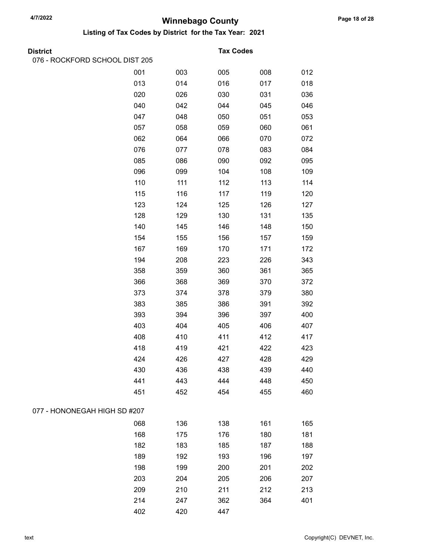Listing of Tax Codes by District for the Tax Year: 2021

| <b>District</b> |  |
|-----------------|--|
|                 |  |

076 - ROCKFORD SCHOOL DIST 205

#### **Tax Codes**

|                              | 001 | 003 | 005 | 008 | 012 |
|------------------------------|-----|-----|-----|-----|-----|
|                              | 013 | 014 | 016 | 017 | 018 |
|                              | 020 | 026 | 030 | 031 | 036 |
|                              | 040 | 042 | 044 | 045 | 046 |
|                              | 047 | 048 | 050 | 051 | 053 |
|                              | 057 | 058 | 059 | 060 | 061 |
|                              | 062 | 064 | 066 | 070 | 072 |
|                              | 076 | 077 | 078 | 083 | 084 |
|                              | 085 | 086 | 090 | 092 | 095 |
|                              | 096 | 099 | 104 | 108 | 109 |
|                              | 110 | 111 | 112 | 113 | 114 |
|                              | 115 | 116 | 117 | 119 | 120 |
|                              | 123 | 124 | 125 | 126 | 127 |
|                              | 128 | 129 | 130 | 131 | 135 |
|                              | 140 | 145 | 146 | 148 | 150 |
|                              | 154 | 155 | 156 | 157 | 159 |
|                              | 167 | 169 | 170 | 171 | 172 |
|                              | 194 | 208 | 223 | 226 | 343 |
|                              | 358 | 359 | 360 | 361 | 365 |
|                              | 366 | 368 | 369 | 370 | 372 |
|                              | 373 | 374 | 378 | 379 | 380 |
|                              | 383 | 385 | 386 | 391 | 392 |
|                              | 393 | 394 | 396 | 397 | 400 |
|                              | 403 | 404 | 405 | 406 | 407 |
|                              | 408 | 410 | 411 | 412 | 417 |
|                              | 418 | 419 | 421 | 422 | 423 |
|                              | 424 | 426 | 427 | 428 | 429 |
|                              | 430 | 436 | 438 | 439 | 440 |
|                              | 441 | 443 | 444 | 448 | 450 |
|                              | 451 | 452 | 454 | 455 | 460 |
| 077 - HONONEGAH HIGH SD #207 |     |     |     |     |     |
|                              | 068 | 136 | 138 | 161 | 165 |
|                              | 168 | 175 | 176 | 180 | 181 |
|                              | 182 | 183 | 185 | 187 | 188 |
|                              | 189 | 192 | 193 | 196 | 197 |
|                              | 198 | 199 | 200 | 201 | 202 |
|                              | 203 | 204 | 205 | 206 | 207 |
|                              | 209 | 210 | 211 | 212 | 213 |
|                              | 214 | 247 | 362 | 364 | 401 |
|                              | 402 | 420 | 447 |     |     |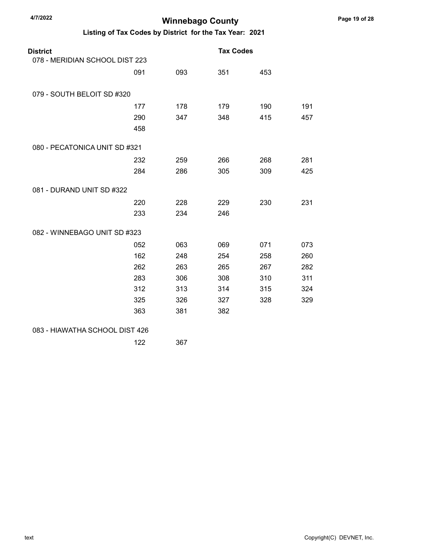| <b>District</b><br>078 - MERIDIAN SCHOOL DIST 223 |     |     | <b>Tax Codes</b> |     |     |
|---------------------------------------------------|-----|-----|------------------|-----|-----|
|                                                   |     |     |                  |     |     |
|                                                   | 091 | 093 | 351              | 453 |     |
| 079 - SOUTH BELOIT SD #320                        |     |     |                  |     |     |
|                                                   | 177 | 178 | 179              | 190 | 191 |
|                                                   | 290 | 347 | 348              | 415 | 457 |
|                                                   | 458 |     |                  |     |     |
| 080 - PECATONICA UNIT SD #321                     |     |     |                  |     |     |
|                                                   | 232 | 259 | 266              | 268 | 281 |
|                                                   | 284 | 286 | 305              | 309 | 425 |
| 081 - DURAND UNIT SD #322                         |     |     |                  |     |     |
|                                                   | 220 | 228 | 229              | 230 | 231 |
|                                                   | 233 | 234 | 246              |     |     |
| 082 - WINNEBAGO UNIT SD #323                      |     |     |                  |     |     |
|                                                   | 052 | 063 | 069              | 071 | 073 |
|                                                   | 162 | 248 | 254              | 258 | 260 |
|                                                   | 262 | 263 | 265              | 267 | 282 |
|                                                   | 283 | 306 | 308              | 310 | 311 |
|                                                   | 312 | 313 | 314              | 315 | 324 |
|                                                   | 325 | 326 | 327              | 328 | 329 |
|                                                   | 363 | 381 | 382              |     |     |
| 083 - HIAWATHA SCHOOL DIST 426                    |     |     |                  |     |     |
|                                                   | 122 | 367 |                  |     |     |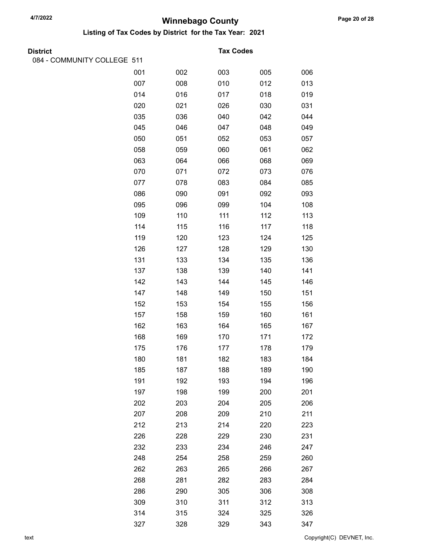| <b>District</b>             |     |     | <b>Tax Codes</b> |     |     |
|-----------------------------|-----|-----|------------------|-----|-----|
| 084 - COMMUNITY COLLEGE 511 |     |     |                  |     |     |
|                             | 001 | 002 | 003              | 005 | 006 |
|                             | 007 | 008 | 010              | 012 | 013 |
|                             | 014 | 016 | 017              | 018 | 019 |
|                             | 020 | 021 | 026              | 030 | 031 |
|                             | 035 | 036 | 040              | 042 | 044 |
|                             | 045 | 046 | 047              | 048 | 049 |
|                             | 050 | 051 | 052              | 053 | 057 |
|                             | 058 | 059 | 060              | 061 | 062 |
|                             | 063 | 064 | 066              | 068 | 069 |
|                             | 070 | 071 | 072              | 073 | 076 |
|                             | 077 | 078 | 083              | 084 | 085 |
|                             | 086 | 090 | 091              | 092 | 093 |
|                             | 095 | 096 | 099              | 104 | 108 |
|                             | 109 | 110 | 111              | 112 | 113 |
|                             | 114 | 115 | 116              | 117 | 118 |
|                             | 119 | 120 | 123              | 124 | 125 |
|                             | 126 | 127 | 128              | 129 | 130 |
|                             | 131 | 133 | 134              | 135 | 136 |
|                             | 137 | 138 | 139              | 140 | 141 |
|                             | 142 | 143 | 144              | 145 | 146 |
|                             | 147 | 148 | 149              | 150 | 151 |
|                             | 152 | 153 | 154              | 155 | 156 |
|                             | 157 | 158 | 159              | 160 | 161 |
|                             | 162 | 163 | 164              | 165 | 167 |
|                             | 168 | 169 | 170              | 171 | 172 |
|                             | 175 | 176 | 177              | 178 | 179 |
|                             | 180 | 181 | 182              | 183 | 184 |
|                             | 185 | 187 | 188              | 189 | 190 |
|                             | 191 | 192 | 193              | 194 | 196 |
|                             | 197 | 198 | 199              | 200 | 201 |
|                             | 202 | 203 | 204              | 205 | 206 |
|                             | 207 | 208 | 209              | 210 | 211 |
|                             | 212 | 213 | 214              | 220 | 223 |
|                             | 226 | 228 | 229              | 230 | 231 |
|                             | 232 | 233 | 234              | 246 | 247 |
|                             | 248 | 254 | 258              | 259 | 260 |
|                             | 262 | 263 | 265              | 266 | 267 |
|                             | 268 | 281 | 282              | 283 | 284 |
|                             | 286 | 290 | 305              | 306 | 308 |
|                             | 309 | 310 | 311              | 312 | 313 |
|                             | 314 | 315 | 324              | 325 | 326 |
|                             | 327 | 328 | 329              | 343 | 347 |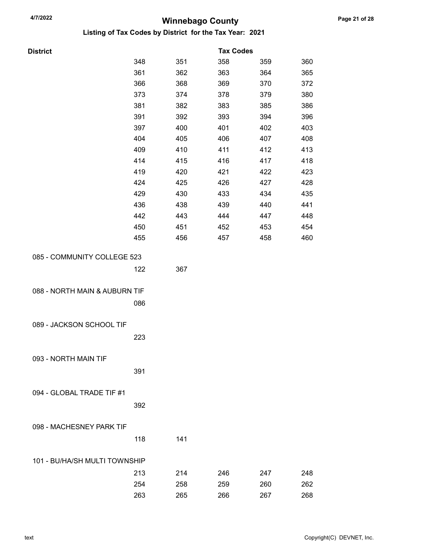| <b>District</b> |  |
|-----------------|--|

| <b>District</b>               |     |     | <b>Tax Codes</b> |     |     |
|-------------------------------|-----|-----|------------------|-----|-----|
|                               | 348 | 351 | 358              | 359 | 360 |
|                               | 361 | 362 | 363              | 364 | 365 |
|                               | 366 | 368 | 369              | 370 | 372 |
|                               | 373 | 374 | 378              | 379 | 380 |
|                               | 381 | 382 | 383              | 385 | 386 |
|                               | 391 | 392 | 393              | 394 | 396 |
|                               | 397 | 400 | 401              | 402 | 403 |
|                               | 404 | 405 | 406              | 407 | 408 |
|                               | 409 | 410 | 411              | 412 | 413 |
|                               | 414 | 415 | 416              | 417 | 418 |
|                               | 419 | 420 | 421              | 422 | 423 |
|                               | 424 | 425 | 426              | 427 | 428 |
|                               | 429 | 430 | 433              | 434 | 435 |
|                               | 436 | 438 | 439              | 440 | 441 |
|                               | 442 | 443 | 444              | 447 | 448 |
|                               | 450 | 451 | 452              | 453 | 454 |
|                               | 455 | 456 | 457              | 458 | 460 |
| 085 - COMMUNITY COLLEGE 523   |     |     |                  |     |     |
|                               |     |     |                  |     |     |
|                               | 122 | 367 |                  |     |     |
| 088 - NORTH MAIN & AUBURN TIF |     |     |                  |     |     |
|                               |     |     |                  |     |     |
|                               | 086 |     |                  |     |     |
| 089 - JACKSON SCHOOL TIF      |     |     |                  |     |     |
|                               |     |     |                  |     |     |
|                               | 223 |     |                  |     |     |
| 093 - NORTH MAIN TIF          |     |     |                  |     |     |
|                               |     |     |                  |     |     |
|                               | 391 |     |                  |     |     |
| 094 - GLOBAL TRADE TIF #1     |     |     |                  |     |     |
|                               |     |     |                  |     |     |
|                               | 392 |     |                  |     |     |
| 098 - MACHESNEY PARK TIF      |     |     |                  |     |     |
|                               |     |     |                  |     |     |
|                               | 118 | 141 |                  |     |     |
| 101 - BU/HA/SH MULTI TOWNSHIP |     |     |                  |     |     |
|                               | 213 | 214 | 246              | 247 | 248 |
|                               | 254 | 258 | 259              | 260 | 262 |
|                               | 263 | 265 | 266              | 267 | 268 |
|                               |     |     |                  |     |     |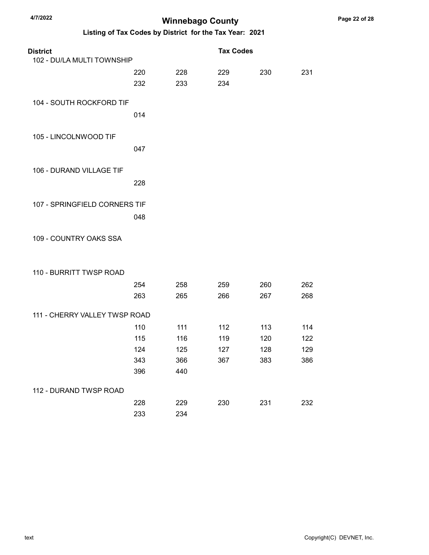**District** 

## Winnebago County 4/7/2022 Listing of Tax Codes by District for the Tax Year: 2021

| LISHING OF THE OCCUPS BY DISTING TOT THE THE TEXT CHEFT |     |     |                  |     |     |
|---------------------------------------------------------|-----|-----|------------------|-----|-----|
| )istrict                                                |     |     | <b>Tax Codes</b> |     |     |
| 102 - DU/LA MULTI TOWNSHIP                              |     |     |                  |     |     |
|                                                         | 220 | 228 | 229              | 230 | 231 |
|                                                         | 232 | 233 | 234              |     |     |

## 104 - SOUTH ROCKFORD TIF

014

228

- 105 LINCOLNWOOD TIF 047
- 106 DURAND VILLAGE TIF
- 107 SPRINGFIELD CORNERS TIF 048

### 109 - COUNTRY OAKS SSA

#### 110 - BURRITT TWSP ROAD

|                               | 254 | 258 | 259 | 260 | 262 |
|-------------------------------|-----|-----|-----|-----|-----|
|                               | 263 | 265 | 266 | 267 | 268 |
|                               |     |     |     |     |     |
| 111 - CHERRY VALLEY TWSP ROAD |     |     |     |     |     |
|                               | 110 | 111 | 112 | 113 | 114 |
|                               | 115 | 116 | 119 | 120 | 122 |
|                               | 124 | 125 | 127 | 128 | 129 |
|                               | 343 | 366 | 367 | 383 | 386 |
|                               | 396 | 440 |     |     |     |
|                               |     |     |     |     |     |
| 112 - DURAND TWSP ROAD        |     |     |     |     |     |
|                               | 228 | 229 | 230 | 231 | 232 |
|                               | 233 | 234 |     |     |     |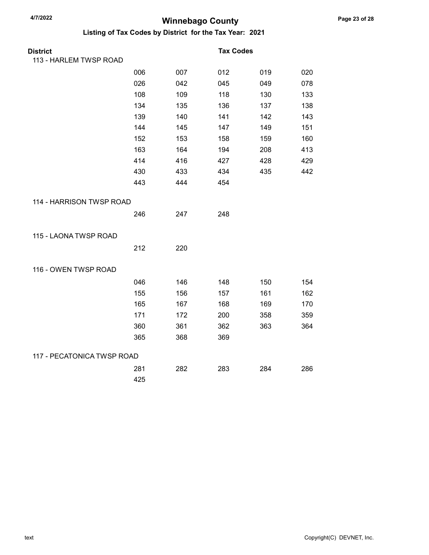| <b>District</b>            |     |     | <b>Tax Codes</b> |     |     |
|----------------------------|-----|-----|------------------|-----|-----|
| 113 - HARLEM TWSP ROAD     |     |     |                  |     |     |
|                            | 006 | 007 | 012              | 019 | 020 |
|                            | 026 | 042 | 045              | 049 | 078 |
|                            | 108 | 109 | 118              | 130 | 133 |
|                            | 134 | 135 | 136              | 137 | 138 |
|                            | 139 | 140 | 141              | 142 | 143 |
|                            | 144 | 145 | 147              | 149 | 151 |
|                            | 152 | 153 | 158              | 159 | 160 |
|                            | 163 | 164 | 194              | 208 | 413 |
|                            | 414 | 416 | 427              | 428 | 429 |
|                            | 430 | 433 | 434              | 435 | 442 |
|                            | 443 | 444 | 454              |     |     |
| 114 - HARRISON TWSP ROAD   |     |     |                  |     |     |
|                            | 246 | 247 | 248              |     |     |
| 115 - LAONA TWSP ROAD      |     |     |                  |     |     |
|                            | 212 | 220 |                  |     |     |
| 116 - OWEN TWSP ROAD       |     |     |                  |     |     |
|                            | 046 | 146 | 148              | 150 | 154 |
|                            | 155 | 156 | 157              | 161 | 162 |
|                            | 165 | 167 | 168              | 169 | 170 |
|                            | 171 | 172 | 200              | 358 | 359 |
|                            | 360 | 361 | 362              | 363 | 364 |
|                            | 365 | 368 | 369              |     |     |
| 117 - PECATONICA TWSP ROAD |     |     |                  |     |     |
|                            | 281 | 282 | 283              | 284 | 286 |
|                            | 425 |     |                  |     |     |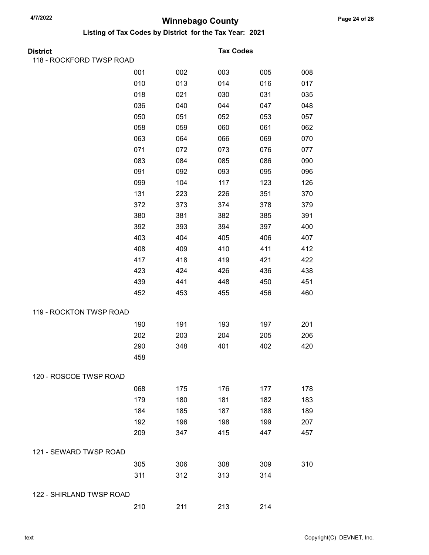| District                 |     |     | <b>Tax Codes</b> |     |     |
|--------------------------|-----|-----|------------------|-----|-----|
| 118 - ROCKFORD TWSP ROAD |     |     |                  |     |     |
|                          | 001 | 002 | 003              | 005 | 008 |
|                          | 010 | 013 | 014              | 016 | 017 |
|                          | 018 | 021 | 030              | 031 | 035 |
|                          | 036 | 040 | 044              | 047 | 048 |
|                          | 050 | 051 | 052              | 053 | 057 |
|                          | 058 | 059 | 060              | 061 | 062 |
|                          | 063 | 064 | 066              | 069 | 070 |
|                          | 071 | 072 | 073              | 076 | 077 |
|                          | 083 | 084 | 085              | 086 | 090 |
|                          | 091 | 092 | 093              | 095 | 096 |
|                          | 099 | 104 | 117              | 123 | 126 |
|                          | 131 | 223 | 226              | 351 | 370 |
|                          | 372 | 373 | 374              | 378 | 379 |
|                          | 380 | 381 | 382              | 385 | 391 |
|                          | 392 | 393 | 394              | 397 | 400 |
|                          | 403 | 404 | 405              | 406 | 407 |
|                          | 408 | 409 | 410              | 411 | 412 |
|                          | 417 | 418 | 419              | 421 | 422 |
|                          | 423 | 424 | 426              | 436 | 438 |
|                          | 439 | 441 | 448              | 450 | 451 |
|                          | 452 | 453 | 455              | 456 | 460 |
| 119 - ROCKTON TWSP ROAD  |     |     |                  |     |     |
|                          | 190 | 191 | 193              | 197 | 201 |
|                          | 202 | 203 | 204              | 205 | 206 |
|                          | 290 | 348 | 401              | 402 | 420 |
|                          | 458 |     |                  |     |     |
| 120 - ROSCOE TWSP ROAD   |     |     |                  |     |     |
|                          | 068 | 175 | 176              | 177 | 178 |
|                          | 179 | 180 | 181              | 182 | 183 |
|                          | 184 | 185 | 187              | 188 | 189 |
|                          | 192 | 196 | 198              | 199 | 207 |
|                          | 209 | 347 | 415              | 447 | 457 |
| 121 - SEWARD TWSP ROAD   |     |     |                  |     |     |
|                          | 305 | 306 | 308              | 309 | 310 |
|                          | 311 | 312 | 313              | 314 |     |
| 122 - SHIRLAND TWSP ROAD |     |     |                  |     |     |
|                          | 210 | 211 | 213              | 214 |     |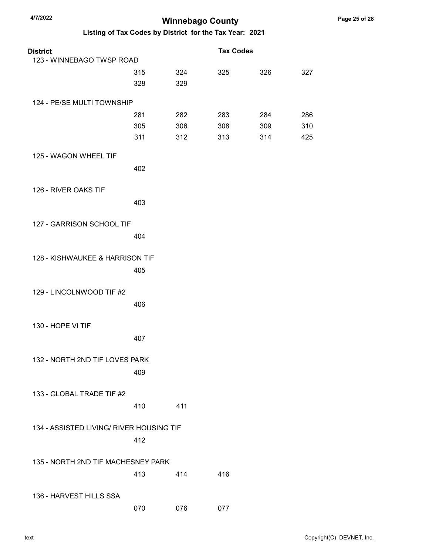| <b>District</b>                          |     |     | <b>Tax Codes</b> |     |     |
|------------------------------------------|-----|-----|------------------|-----|-----|
| 123 - WINNEBAGO TWSP ROAD                |     |     |                  |     |     |
|                                          | 315 | 324 | 325              | 326 | 327 |
|                                          | 328 | 329 |                  |     |     |
| 124 - PE/SE MULTI TOWNSHIP               |     |     |                  |     |     |
|                                          | 281 | 282 | 283              | 284 | 286 |
|                                          | 305 | 306 | 308              | 309 | 310 |
|                                          | 311 | 312 | 313              | 314 | 425 |
| 125 - WAGON WHEEL TIF                    |     |     |                  |     |     |
|                                          | 402 |     |                  |     |     |
| 126 - RIVER OAKS TIF                     |     |     |                  |     |     |
|                                          | 403 |     |                  |     |     |
| 127 - GARRISON SCHOOL TIF                |     |     |                  |     |     |
|                                          | 404 |     |                  |     |     |
| 128 - KISHWAUKEE & HARRISON TIF          |     |     |                  |     |     |
|                                          | 405 |     |                  |     |     |
| 129 - LINCOLNWOOD TIF #2                 |     |     |                  |     |     |
|                                          | 406 |     |                  |     |     |
|                                          |     |     |                  |     |     |
| 130 - HOPE VI TIF                        |     |     |                  |     |     |
|                                          | 407 |     |                  |     |     |
| 132 - NORTH 2ND TIF LOVES PARK           |     |     |                  |     |     |
|                                          | 409 |     |                  |     |     |
| 133 - GLOBAL TRADE TIF #2                |     |     |                  |     |     |
|                                          | 410 | 411 |                  |     |     |
|                                          |     |     |                  |     |     |
| 134 - ASSISTED LIVING/ RIVER HOUSING TIF |     |     |                  |     |     |
|                                          | 412 |     |                  |     |     |
| 135 - NORTH 2ND TIF MACHESNEY PARK       |     |     |                  |     |     |
|                                          | 413 | 414 | 416              |     |     |
| 136 - HARVEST HILLS SSA                  |     |     |                  |     |     |
|                                          | 070 | 076 | 077              |     |     |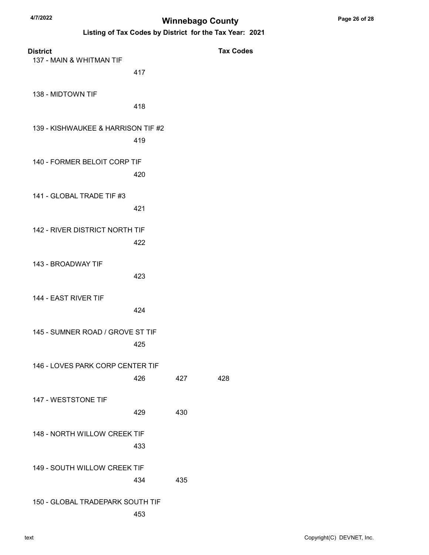| <b>District</b><br>137 - MAIN & WHITMAN TIF |     |     | <b>Tax Codes</b> |
|---------------------------------------------|-----|-----|------------------|
|                                             | 417 |     |                  |
| 138 - MIDTOWN TIF                           | 418 |     |                  |
| 139 - KISHWAUKEE & HARRISON TIF #2          | 419 |     |                  |
| 140 - FORMER BELOIT CORP TIF                | 420 |     |                  |
| 141 - GLOBAL TRADE TIF #3                   | 421 |     |                  |
| <b>142 - RIVER DISTRICT NORTH TIF</b>       | 422 |     |                  |
| 143 - BROADWAY TIF                          | 423 |     |                  |
| 144 - EAST RIVER TIF                        | 424 |     |                  |
| 145 - SUMNER ROAD / GROVE ST TIF            | 425 |     |                  |
| 146 - LOVES PARK CORP CENTER TIF            | 426 | 427 | 428              |
| 147 - WESTSTONE TIF                         | 429 | 430 |                  |
| 148 - NORTH WILLOW CREEK TIF                | 433 |     |                  |
| 149 - SOUTH WILLOW CREEK TIF                | 434 | 435 |                  |
| 150 - GLOBAL TRADEPARK SOUTH TIF            | 453 |     |                  |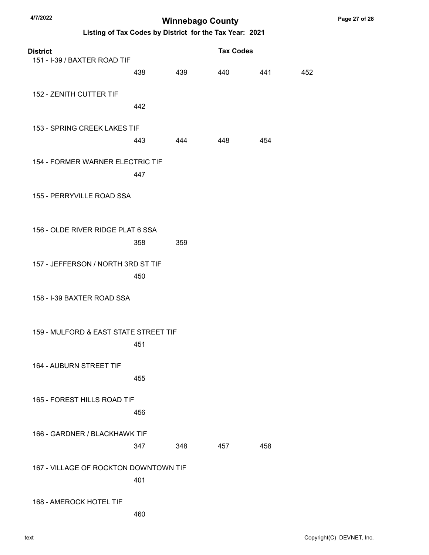| 4/7/2022<br><b>Winnebago County</b>                     |     |     |                  |     |     |
|---------------------------------------------------------|-----|-----|------------------|-----|-----|
| Listing of Tax Codes by District for the Tax Year: 2021 |     |     |                  |     |     |
| <b>District</b><br>151 - I-39 / BAXTER ROAD TIF         |     |     | <b>Tax Codes</b> |     |     |
|                                                         | 438 | 439 | 440              | 441 | 452 |
| 152 - ZENITH CUTTER TIF                                 | 442 |     |                  |     |     |
|                                                         |     |     |                  |     |     |
| 153 - SPRING CREEK LAKES TIF                            | 443 | 444 | 448              | 454 |     |
| 154 - FORMER WARNER ELECTRIC TIF                        | 447 |     |                  |     |     |
| 155 - PERRYVILLE ROAD SSA                               |     |     |                  |     |     |
|                                                         |     |     |                  |     |     |
| 156 - OLDE RIVER RIDGE PLAT 6 SSA                       | 358 | 359 |                  |     |     |
| 157 - JEFFERSON / NORTH 3RD ST TIF                      | 450 |     |                  |     |     |
| 158 - I-39 BAXTER ROAD SSA                              |     |     |                  |     |     |
| 159 - MULFORD & EAST STATE STREET TIF                   |     |     |                  |     |     |
| <b>164 - AUBURN STREET TIF</b>                          | 451 |     |                  |     |     |
|                                                         | 455 |     |                  |     |     |
| 165 - FOREST HILLS ROAD TIF                             |     |     |                  |     |     |
|                                                         | 456 |     |                  |     |     |
| 166 - GARDNER / BLACKHAWK TIF                           | 347 | 348 | 457              | 458 |     |
| 167 - VILLAGE OF ROCKTON DOWNTOWN TIF                   |     |     |                  |     |     |
|                                                         | 401 |     |                  |     |     |
| 168 - AMEROCK HOTEL TIF                                 |     |     |                  |     |     |
|                                                         | 460 |     |                  |     |     |